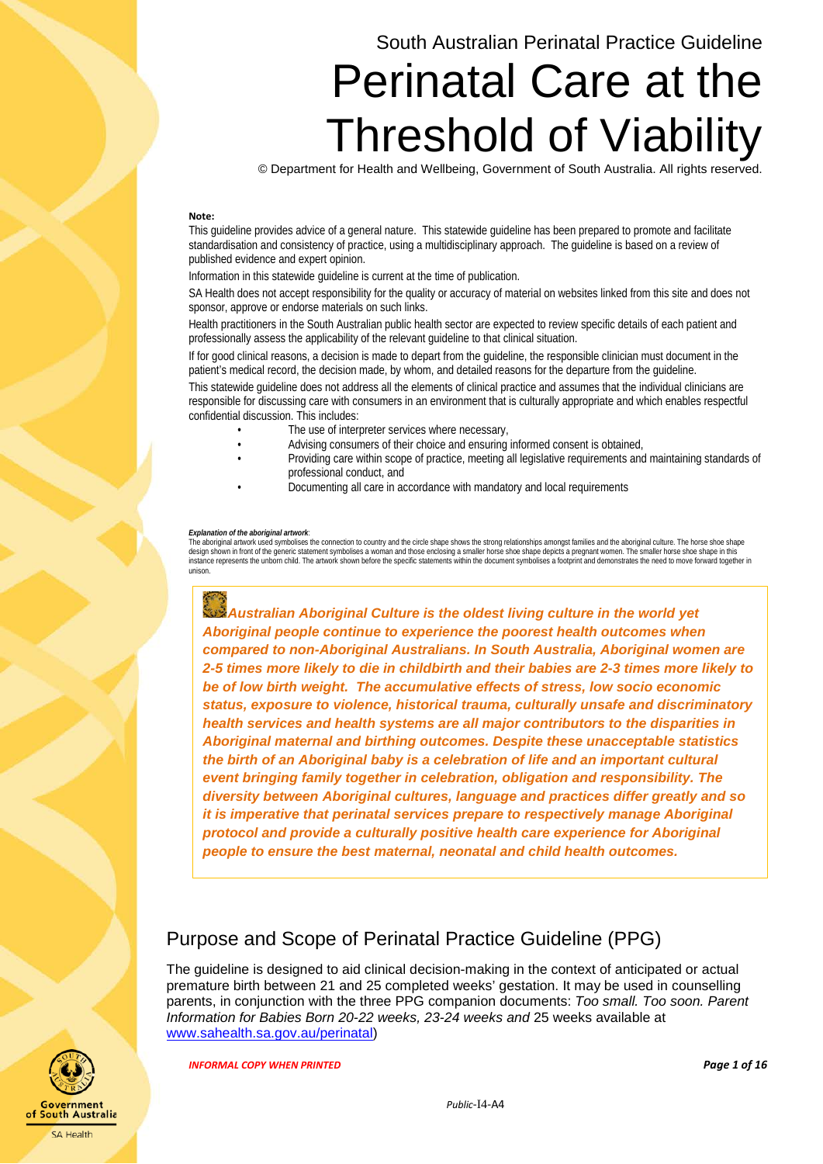## South Australian Perinatal Practice Guideline

# Perinatal Care at the Threshold of Viability

© Department for Health and Wellbeing, Government of South Australia. All rights reserved.

#### **Note:**

This guideline provides advice of a general nature. This statewide guideline has been prepared to promote and facilitate standardisation and consistency of practice, using a multidisciplinary approach. The guideline is based on a review of published evidence and expert opinion.

Information in this statewide guideline is current at the time of publication.

SA Health does not accept responsibility for the quality or accuracy of material on websites linked from this site and does not sponsor, approve or endorse materials on such links.

Health practitioners in the South Australian public health sector are expected to review specific details of each patient and professionally assess the applicability of the relevant guideline to that clinical situation.

If for good clinical reasons, a decision is made to depart from the guideline, the responsible clinician must document in the patient's medical record, the decision made, by whom, and detailed reasons for the departure from the guideline.

This statewide guideline does not address all the elements of clinical practice and assumes that the individual clinicians are responsible for discussing care with consumers in an environment that is culturally appropriate and which enables respectful confidential discussion. This includes:

- The use of interpreter services where necessary,
- Advising consumers of their choice and ensuring informed consent is obtained,
- Providing care within scope of practice, meeting all legislative requirements and maintaining standards of professional conduct, and
- Documenting all care in accordance with mandatory and local requirements

#### *Explanation of the aboriginal artwork*:

The aboriginal artwork used symbolises the connection to country and the circle shape shows the strong relationships amongst families and the aboriginal culture. The horse shoe shape<br>design shown in front of the generic st instance represents the unborn child. The artwork shown before the specific statements within the document symbolises a footprint and demonstrates the need to move forward together in unison.

 *Australian Aboriginal Culture is the oldest living culture in the world yet Aboriginal people continue to experience the poorest health outcomes when compared to non-Aboriginal Australians. In South Australia, Aboriginal women are 2-5 times more likely to die in childbirth and their babies are 2-3 times more likely to be of low birth weight. The accumulative effects of stress, low socio economic status, exposure to violence, historical trauma, culturally unsafe and discriminatory health services and health systems are all major contributors to the disparities in Aboriginal maternal and birthing outcomes. Despite these unacceptable statistics the birth of an Aboriginal baby is a celebration of life and an important cultural event bringing family together in celebration, obligation and responsibility. The diversity between Aboriginal cultures, language and practices differ greatly and so it is imperative that perinatal services prepare to respectively manage Aboriginal protocol and provide a culturally positive health care experience for Aboriginal people to ensure the best maternal, neonatal and child health outcomes.*

## <span id="page-0-0"></span>Purpose and Scope of Perinatal Practice Guideline (PPG)

The guideline is designed to aid clinical decision-making in the context of anticipated or actual premature birth between 21 and 25 completed weeks' gestation. It may be used in counselling parents, in conjunction with the three PPG companion documents: *Too small. Too soon. Parent Information for Babies Born 20-22 weeks, 23-24 weeks and* 25 weeks available at [www.sahealth.sa.gov.au/perinatal\)](http://www.sahealth.sa.gov.au/perinatal)

*INFORMAL COPY WHEN PRINTED Page 1 of 16*



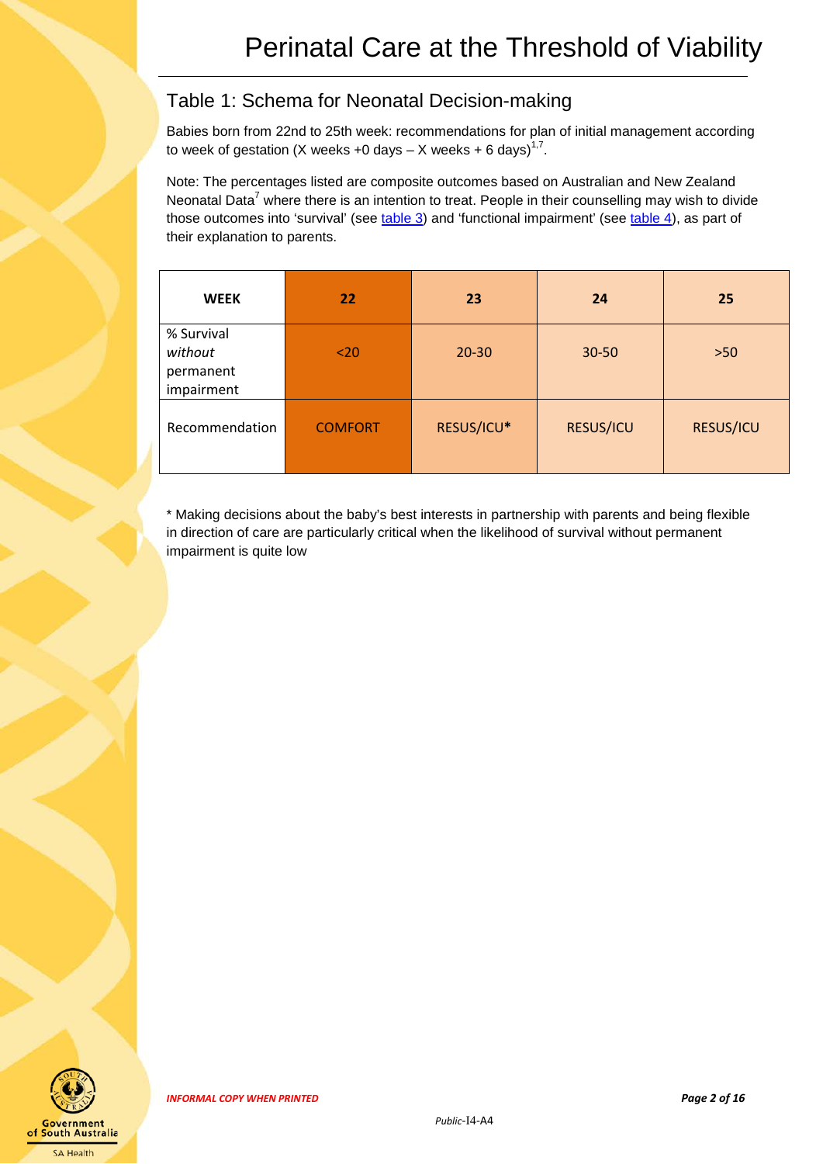## <span id="page-1-0"></span>Table 1: Schema for Neonatal Decision-making

Babies born from 22nd to 25th week: recommendations for plan of initial management according to week of gestation (X weeks +0 days  $-$  X weeks + 6 days)<sup>1,7</sup>.

Note: The percentages listed are composite outcomes based on Australian and New Zealand Neonatal Data<sup>7</sup> where there is an intention to treat. People in their counselling may wish to divide those outcomes into 'survival' (see [table 3\)](#page-6-0) and 'functional impairment' (see [table 4\)](#page-7-0), as part of their explanation to parents.

| <b>WEEK</b>                                      | 22             | 23         | 24        | 25               |
|--------------------------------------------------|----------------|------------|-----------|------------------|
| % Survival<br>without<br>permanent<br>impairment | $20$           | $20 - 30$  | 30-50     | $>50$            |
| Recommendation                                   | <b>COMFORT</b> | RESUS/ICU* | RESUS/ICU | <b>RESUS/ICU</b> |

\* Making decisions about the baby's best interests in partnership with parents and being flexible in direction of care are particularly critical when the likelihood of survival without permanent impairment is quite low

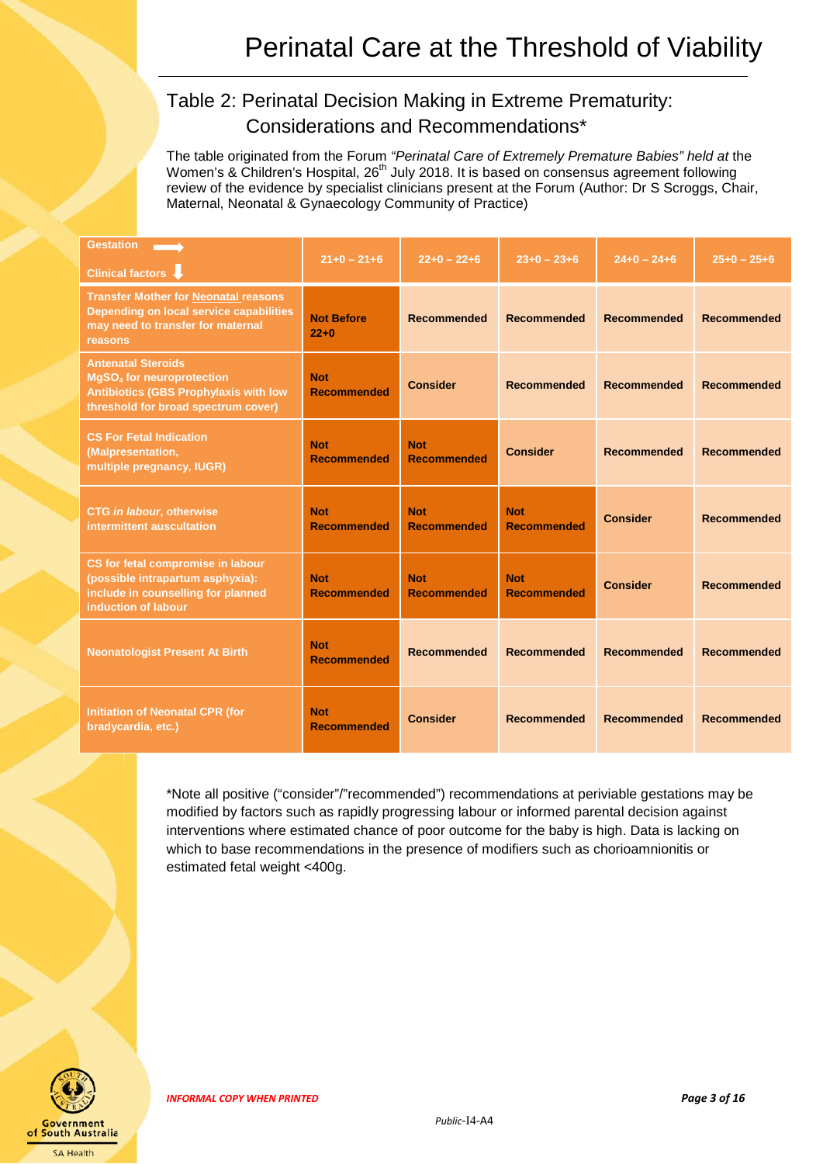## <span id="page-2-0"></span>Table 2: Perinatal Decision Making in Extreme Prematurity: Considerations and Recommendations\*

The table originated from the Forum *"Perinatal Care of Extremely Premature Babies" held at* the Women's & Children's Hospital, 26<sup>th</sup> July 2018. It is based on consensus agreement following review of the evidence by specialist clinicians present at the Forum (Author: Dr S Scroggs, Chair, Maternal, Neonatal & Gynaecology Community of Practice)

| <b>Gestation</b><br>Clinical factors V                                                                                                                          | $21+0-21+6$                      | $22+0-22+6$                      | $23+0-23+6$                      | $24+0 - 24+6$      | $25+0 - 25+6$      |
|-----------------------------------------------------------------------------------------------------------------------------------------------------------------|----------------------------------|----------------------------------|----------------------------------|--------------------|--------------------|
| <b>Transfer Mother for Neonatal reasons</b><br>Depending on local service capabilities<br>may need to transfer for maternal<br>reasons                          | <b>Not Before</b><br>$22+0$      | <b>Recommended</b>               | <b>Recommended</b>               | <b>Recommended</b> | <b>Recommended</b> |
| <b>Antenatal Steroids</b><br><b>MgSO<sub>4</sub></b> for neuroprotection<br><b>Antibiotics (GBS Prophylaxis with low</b><br>threshold for broad spectrum cover) | <b>Not</b><br><b>Recommended</b> | <b>Consider</b>                  | <b>Recommended</b>               | <b>Recommended</b> | <b>Recommended</b> |
| <b>CS For Fetal Indication</b><br>(Malpresentation,<br>multiple pregnancy, IUGR)                                                                                | <b>Not</b><br><b>Recommended</b> | <b>Not</b><br><b>Recommended</b> | <b>Consider</b>                  | <b>Recommended</b> | <b>Recommended</b> |
| <b>CTG in labour, otherwise</b><br>intermittent auscultation                                                                                                    | <b>Not</b><br><b>Recommended</b> | <b>Not</b><br><b>Recommended</b> | <b>Not</b><br><b>Recommended</b> | <b>Consider</b>    | <b>Recommended</b> |
| CS for fetal compromise in labour<br>(possible intrapartum asphyxia):<br>include in counselling for planned<br>induction of labour                              | <b>Not</b><br><b>Recommended</b> | <b>Not</b><br><b>Recommended</b> | <b>Not</b><br><b>Recommended</b> | <b>Consider</b>    | <b>Recommended</b> |
| <b>Neonatologist Present At Birth</b>                                                                                                                           | <b>Not</b><br><b>Recommended</b> | <b>Recommended</b>               | <b>Recommended</b>               | Recommended        | <b>Recommended</b> |
| <b>Initiation of Neonatal CPR (for</b><br>bradycardia, etc.)                                                                                                    | <b>Not</b><br><b>Recommended</b> | <b>Consider</b>                  | <b>Recommended</b>               | <b>Recommended</b> | <b>Recommended</b> |

\*Note all positive ("consider"/"recommended") recommendations at periviable gestations may be modified by factors such as rapidly progressing labour or informed parental decision against interventions where estimated chance of poor outcome for the baby is high. Data is lacking on which to base recommendations in the presence of modifiers such as chorioamnionitis or estimated fetal weight <400g.

*INFORMAL COPY WHEN PRINTED Page 3 of 16*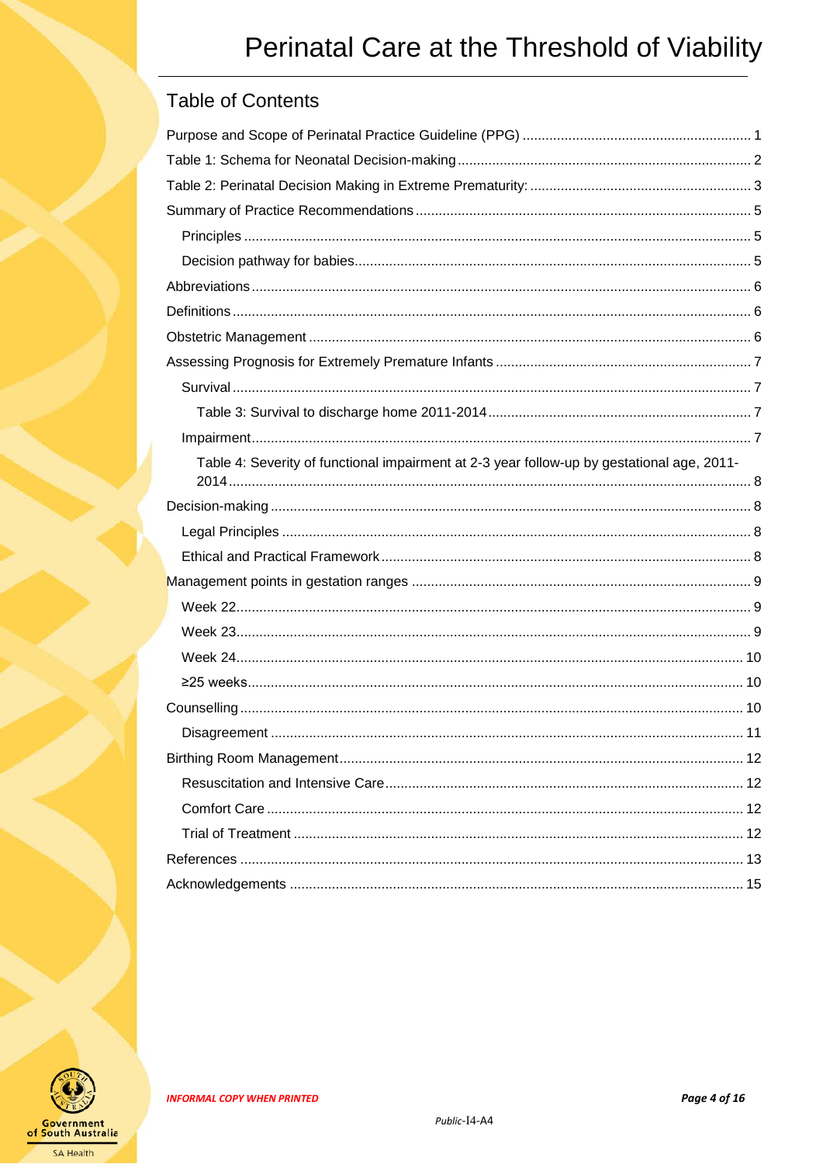## **Table of Contents**

| Table 4: Severity of functional impairment at 2-3 year follow-up by gestational age, 2011- |  |
|--------------------------------------------------------------------------------------------|--|
|                                                                                            |  |
|                                                                                            |  |
|                                                                                            |  |
|                                                                                            |  |
|                                                                                            |  |
|                                                                                            |  |
|                                                                                            |  |
|                                                                                            |  |
|                                                                                            |  |
|                                                                                            |  |
|                                                                                            |  |
|                                                                                            |  |
|                                                                                            |  |
|                                                                                            |  |
|                                                                                            |  |
|                                                                                            |  |

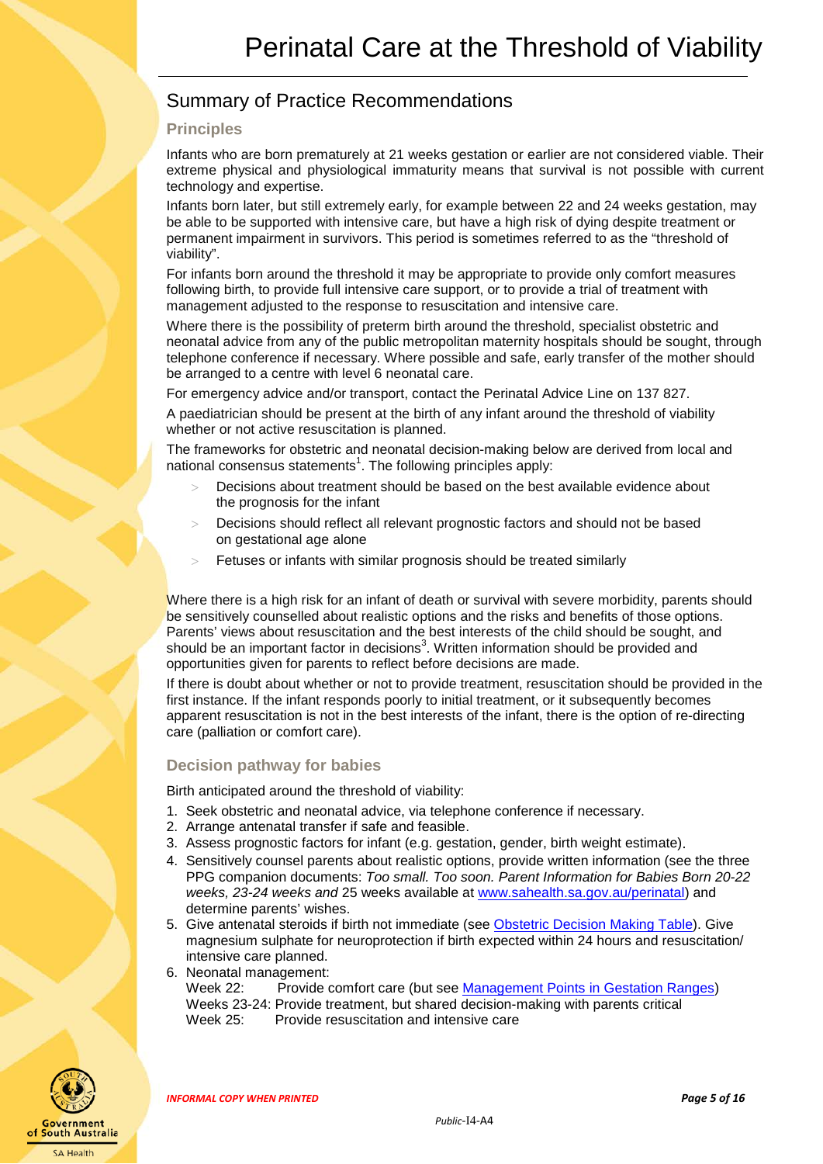## <span id="page-4-0"></span>Summary of Practice Recommendations

#### <span id="page-4-1"></span>**Principles**

Infants who are born prematurely at 21 weeks gestation or earlier are not considered viable. Their extreme physical and physiological immaturity means that survival is not possible with current technology and expertise.

Infants born later, but still extremely early, for example between 22 and 24 weeks gestation, may be able to be supported with intensive care, but have a high risk of dying despite treatment or permanent impairment in survivors. This period is sometimes referred to as the "threshold of viability".

For infants born around the threshold it may be appropriate to provide only comfort measures following birth, to provide full intensive care support, or to provide a trial of treatment with management adjusted to the response to resuscitation and intensive care.

Where there is the possibility of preterm birth around the threshold, specialist obstetric and neonatal advice from any of the public metropolitan maternity hospitals should be sought, through telephone conference if necessary. Where possible and safe, early transfer of the mother should be arranged to a centre with level 6 neonatal care.

For emergency advice and/or transport, contact the Perinatal Advice Line on 137 827.

A paediatrician should be present at the birth of any infant around the threshold of viability whether or not active resuscitation is planned.

The frameworks for obstetric and neonatal decision-making below are derived from local and national consensus statements<sup>1</sup>. The following principles apply:

- Decisions about treatment should be based on the best available evidence about the prognosis for the infant
- Decisions should reflect all relevant prognostic factors and should not be based on gestational age alone
- Fetuses or infants with similar prognosis should be treated similarly

Where there is a high risk for an infant of death or survival with severe morbidity, parents should be sensitively counselled about realistic options and the risks and benefits of those options. Parents' views about resuscitation and the best interests of the child should be sought, and should be an important factor in decisions<sup>3</sup>. Written information should be provided and opportunities given for parents to reflect before decisions are made.

If there is doubt about whether or not to provide treatment, resuscitation should be provided in the first instance. If the infant responds poorly to initial treatment, or it subsequently becomes apparent resuscitation is not in the best interests of the infant, there is the option of re-directing care (palliation or comfort care).

#### <span id="page-4-2"></span>**Decision pathway for babies**

Birth anticipated around the threshold of viability:

- 1. Seek obstetric and neonatal advice, via telephone conference if necessary.
- 2. Arrange antenatal transfer if safe and feasible.
- 3. Assess prognostic factors for infant (e.g. gestation, gender, birth weight estimate).
- 4. Sensitively counsel parents about realistic options, provide written information (see the three PPG companion documents: *Too small. Too soon. Parent Information for Babies Born 20-22 weeks, 23-24 weeks and* 25 weeks available at [www.sahealth.sa.gov.au/perinatal\)](http://www.sahealth.sa.gov.au/perinatal) and determine parents' wishes.
- 5. Give antenatal steroids if birth not immediate (see [Obstetric Decision Making Table\)](#page-2-0). Give magnesium sulphate for neuroprotection if birth expected within 24 hours and resuscitation/ intensive care planned.
- 6. Neonatal management:

Provide comfort care (but see [Management Points in Gestation Ranges\)](#page-8-0) Weeks 23-24: Provide treatment, but shared decision-making with parents critical Week 25: Provide resuscitation and intensive care



*INFORMAL COPY WHEN PRINTED Page 5 of 16*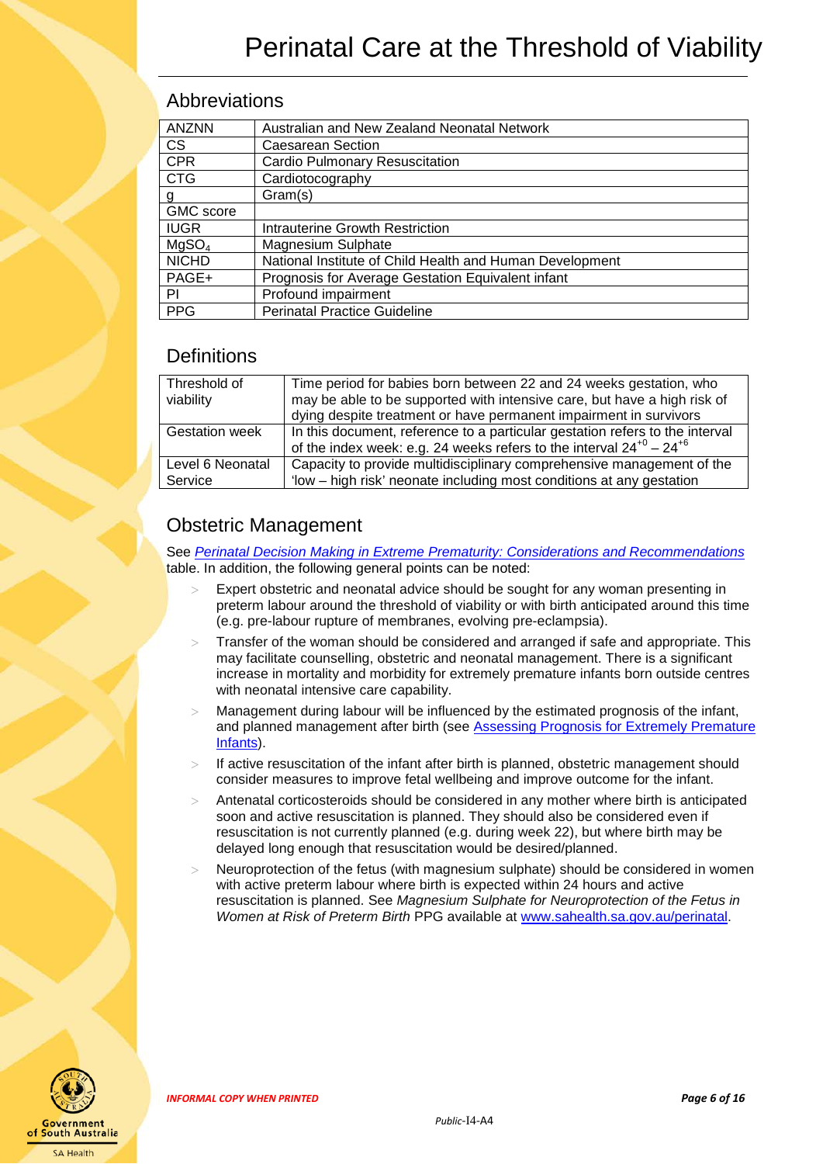### <span id="page-5-0"></span>Abbreviations

| <b>ANZNN</b>      | Australian and New Zealand Neonatal Network              |
|-------------------|----------------------------------------------------------|
| <b>CS</b>         | Caesarean Section                                        |
| <b>CPR</b>        | <b>Cardio Pulmonary Resuscitation</b>                    |
| <b>CTG</b>        | Cardiotocography                                         |
| g                 | Gram(s)                                                  |
| <b>GMC</b> score  |                                                          |
| <b>IUGR</b>       | Intrauterine Growth Restriction                          |
| MqSO <sub>4</sub> | Magnesium Sulphate                                       |
| <b>NICHD</b>      | National Institute of Child Health and Human Development |
| PAGE+             | Prognosis for Average Gestation Equivalent infant        |
| PI                | Profound impairment                                      |
| <b>PPG</b>        | <b>Perinatal Practice Guideline</b>                      |

### <span id="page-5-1"></span>**Definitions**

| Threshold of          | Time period for babies born between 22 and 24 weeks gestation, who           |
|-----------------------|------------------------------------------------------------------------------|
| viability             | may be able to be supported with intensive care, but have a high risk of     |
|                       | dying despite treatment or have permanent impairment in survivors            |
| <b>Gestation week</b> | In this document, reference to a particular gestation refers to the interval |
|                       | of the index week: e.g. 24 weeks refers to the interval $24^{+0} - 24^{+6}$  |
| Level 6 Neonatal      | Capacity to provide multidisciplinary comprehensive management of the        |
| Service               | 'low - high risk' neonate including most conditions at any gestation         |
|                       |                                                                              |

## <span id="page-5-2"></span>Obstetric Management

See *Perinatal [Decision Making in Extreme Prematurity: Considerations and Recommendations](#page-2-0)* table. In addition, the following general points can be noted:

- Expert obstetric and neonatal advice should be sought for any woman presenting in preterm labour around the threshold of viability or with birth anticipated around this time (e.g. pre-labour rupture of membranes, evolving pre-eclampsia).
- Transfer of the woman should be considered and arranged if safe and appropriate. This may facilitate counselling, obstetric and neonatal management. There is a significant increase in mortality and morbidity for extremely premature infants born outside centres with neonatal intensive care capability.
- Management during labour will be influenced by the estimated prognosis of the infant, and planned management after birth (see Assessing Prognosis for Extremely Premature [Infants\)](#page-6-1).
- If active resuscitation of the infant after birth is planned, obstetric management should consider measures to improve fetal wellbeing and improve outcome for the infant.
- > Antenatal corticosteroids should be considered in any mother where birth is anticipated soon and active resuscitation is planned. They should also be considered even if resuscitation is not currently planned (e.g. during week 22), but where birth may be delayed long enough that resuscitation would be desired/planned.
- Neuroprotection of the fetus (with magnesium sulphate) should be considered in women with active preterm labour where birth is expected within 24 hours and active resuscitation is planned. See *Magnesium Sulphate for Neuroprotection of the Fetus in Women at Risk of Preterm Birth* PPG available at [www.sahealth.sa.gov.au/perinatal.](http://www.sahealth.sa.gov.au/perinatal)



*INFORMAL COPY WHEN PRINTED Page 6 of 16*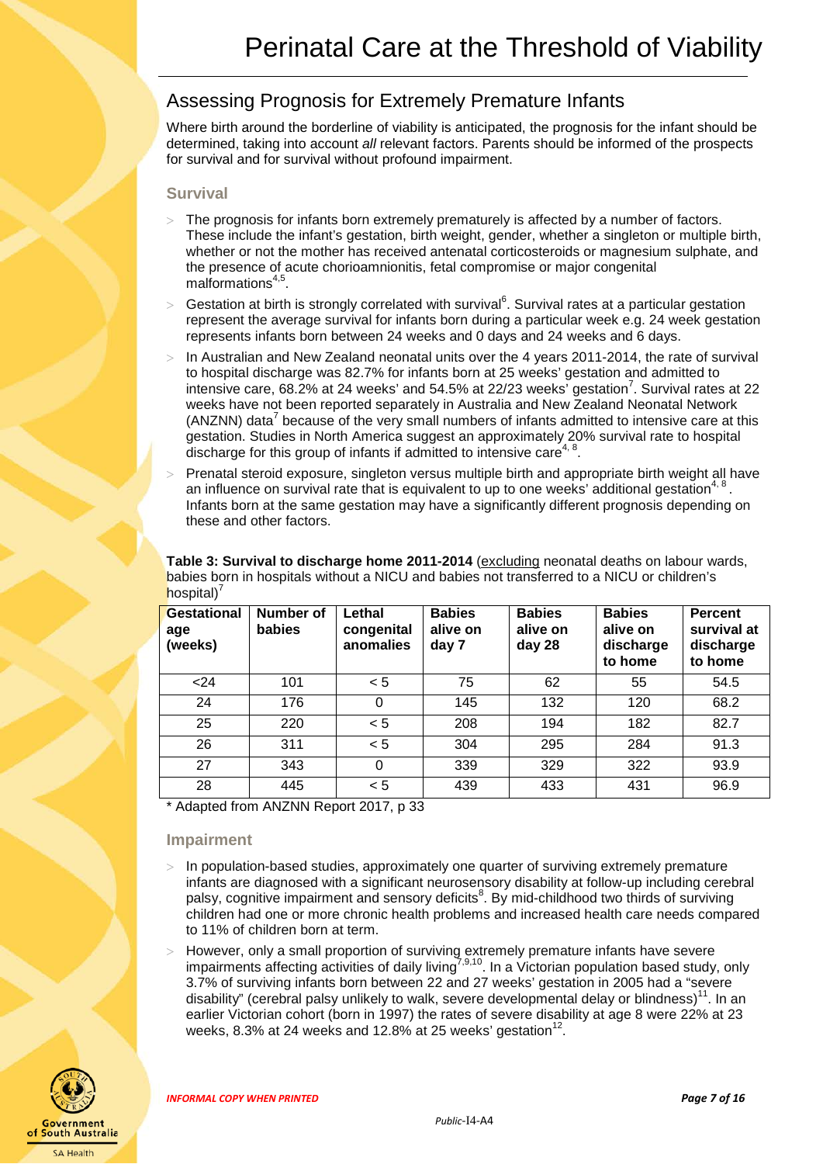## <span id="page-6-1"></span>Assessing Prognosis for Extremely Premature Infants

Where birth around the borderline of viability is anticipated, the prognosis for the infant should be determined, taking into account *all* relevant factors. Parents should be informed of the prospects for survival and for survival without profound impairment.

#### <span id="page-6-2"></span>**Survival**

- > The prognosis for infants born extremely prematurely is affected by a number of factors. These include the infant's gestation, birth weight, gender, whether a singleton or multiple birth, whether or not the mother has received antenatal corticosteroids or magnesium sulphate, and the presence of acute chorioamnionitis, fetal compromise or major congenital malformations $4,5$ .
- > Gestation at birth is strongly correlated with survival<sup>6</sup>. Survival rates at a particular gestation represent the average survival for infants born during a particular week e.g. 24 week gestation represents infants born between 24 weeks and 0 days and 24 weeks and 6 days.
- In Australian and New Zealand neonatal units over the 4 years 2011-2014, the rate of survival to hospital discharge was 82.7% for infants born at 25 weeks' gestation and admitted to intensive care, 68.2% at 24 weeks' and 54.5% at 22/23 weeks' gestation<sup>7</sup>. Survival rates at 22 weeks have not been reported separately in Australia and New Zealand Neonatal Network (ANZNN) data<sup>7</sup> because of the very small numbers of infants admitted to intensive care at this gestation. Studies in North America suggest an approximately 20% survival rate to hospital discharge for this group of infants if admitted to intensive care<sup>4,</sup>
- Prenatal steroid exposure, singleton versus multiple birth and appropriate birth weight all have an influence on survival rate that is equivalent to up to one weeks' additional gestation<sup>4, 8</sup>. Infants born at the same gestation may have a significantly different prognosis depending on these and other factors.

<span id="page-6-0"></span>

| Table 3: Survival to discharge home 2011-2014 (excluding neonatal deaths on labour wards,  |
|--------------------------------------------------------------------------------------------|
| babies born in hospitals without a NICU and babies not transferred to a NICU or children's |
| hospital)'                                                                                 |

| <b>Gestational</b><br>age<br>(weeks) | <b>Number of</b><br>babies | Lethal<br>congenital<br>anomalies | <b>Babies</b><br>alive on<br>day 7 | <b>Babies</b><br>alive on<br>day 28 | <b>Babies</b><br>alive on<br>discharge<br>to home | <b>Percent</b><br>survival at<br>discharge<br>to home |
|--------------------------------------|----------------------------|-----------------------------------|------------------------------------|-------------------------------------|---------------------------------------------------|-------------------------------------------------------|
| $24$                                 | 101                        | < 5                               | 75                                 | 62                                  | 55                                                | 54.5                                                  |
| 24                                   | 176                        | 0                                 | 145                                | 132                                 | 120                                               | 68.2                                                  |
| 25                                   | 220                        | < 5                               | 208                                | 194                                 | 182                                               | 82.7                                                  |
| 26                                   | 311                        | < 5                               | 304                                | 295                                 | 284                                               | 91.3                                                  |
| 27                                   | 343                        | $\Omega$                          | 339                                | 329                                 | 322                                               | 93.9                                                  |
| 28                                   | 445                        | < 5                               | 439                                | 433                                 | 431                                               | 96.9                                                  |

\* Adapted from ANZNN Report 2017, p 33

#### <span id="page-6-3"></span>**Impairment**

- In population-based studies, approximately one quarter of surviving extremely premature infants are diagnosed with a significant neurosensory disability at follow-up including cerebral palsy, cognitive impairment and sensory deficits<sup>8</sup>. By mid-childhood two thirds of surviving children had one or more chronic health problems and increased health care needs compared to 11% of children born at term.
- > However, only a small proportion of surviving extremely premature infants have severe impairments affecting activities of daily living<sup>7,9,10</sup>. In a Victorian population based study, only 3.7% of surviving infants born between 22 and 27 weeks' gestation in 2005 had a "severe disability" (cerebral palsy unlikely to walk, severe developmental delay or blindness)<sup>11</sup>. In an earlier Victorian cohort (born in 1997) the rates of severe disability at age 8 were 22% at 23 weeks, 8.3% at 24 weeks and 12.8% at 25 weeks' gestation<sup>12</sup>



*INFORMAL COPY WHEN PRINTED Page 7 of 16*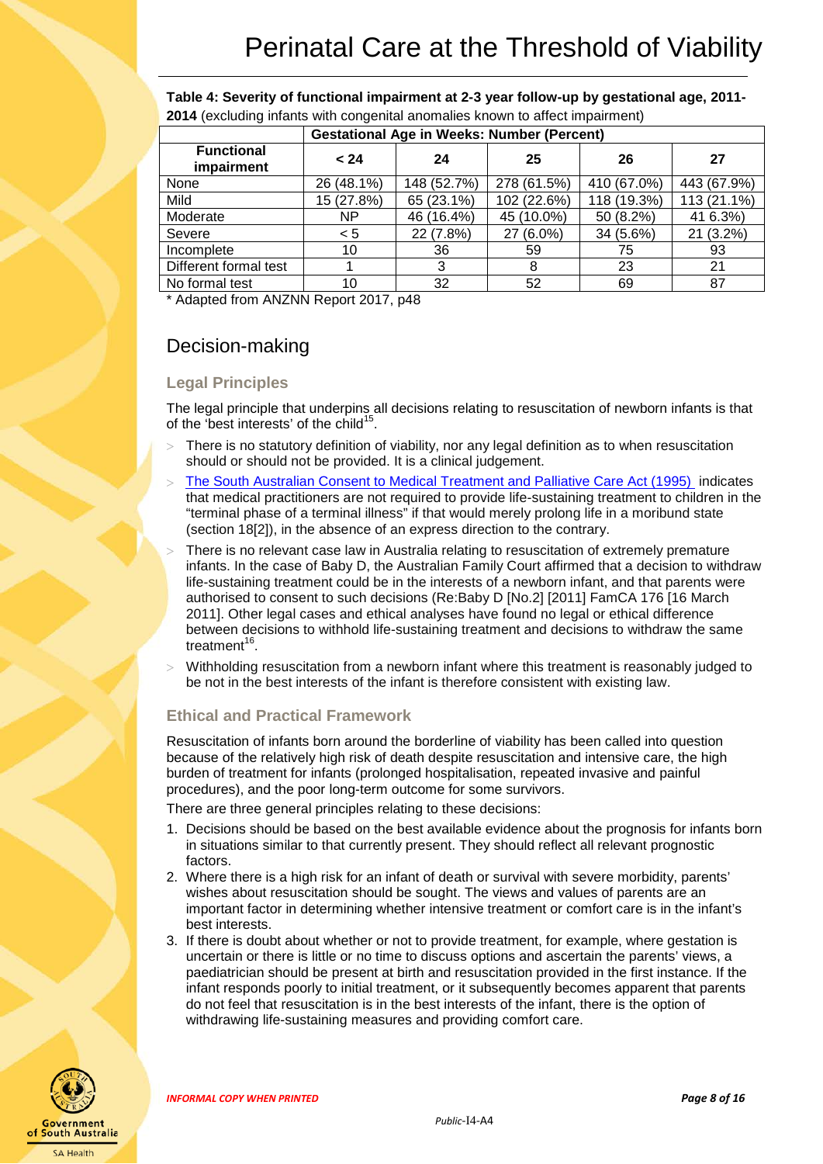<span id="page-7-0"></span>**Table 4: Severity of functional impairment at 2-3 year follow-up by gestational age, 2011- 2014** (excluding infants with congenital anomalies known to affect impairment)

|                                 | <b>Gestational Age in Weeks: Number (Percent)</b> |             |             |             |             |  |
|---------------------------------|---------------------------------------------------|-------------|-------------|-------------|-------------|--|
| <b>Functional</b><br>impairment | < 24                                              | 24          | 25          | 26          | 27          |  |
| None                            | 26 (48.1%)                                        | 148 (52.7%) | 278 (61.5%) | 410 (67.0%) | 443 (67.9%) |  |
| Mild                            | 15 (27.8%)                                        | 65 (23.1%)  | 102 (22.6%) | 118 (19.3%) | 113 (21.1%) |  |
| Moderate                        | NP.                                               | 46 (16.4%)  | 45 (10.0%)  | 50 (8.2%)   | 41 6.3%)    |  |
| Severe                          | < 5                                               | 22 (7.8%)   | 27 (6.0%)   | 34 (5.6%)   | 21 (3.2%)   |  |
| Incomplete                      | 10                                                | 36          | 59          | 75          | 93          |  |
| Different formal test           |                                                   | 3           | 8           | 23          | 21          |  |
| No formal test                  | 10                                                | 32          | 52          | 69          | 87          |  |

\* Adapted from ANZNN Report 2017, p48

### <span id="page-7-1"></span>Decision-making

#### <span id="page-7-2"></span>**Legal Principles**

The legal principle that underpins all decisions relating to resuscitation of newborn infants is that of the 'best interests' of the child<sup>15</sup>.

- There is no statutory definition of viability, nor any legal definition as to when resuscitation should or should not be provided. It is a clinical judgement.
- > [The South Australian Consent to Medical Treatment and Palliative Care Act \(1995\)](https://www.legislation.sa.gov.au/LZ/C/A/CONSENT%20TO%20MEDICAL%20TREATMENT%20AND%20PALLIATIVE%20CARE%20ACT%201995/CURRENT/1995.26.AUTH.PDF) indicates that medical practitioners are not required to provide life-sustaining treatment to children in the "terminal phase of a terminal illness" if that would merely prolong life in a moribund state (section 18[2]), in the absence of an express direction to the contrary.
- There is no relevant case law in Australia relating to resuscitation of extremely premature infants. In the case of Baby D, the Australian Family Court affirmed that a decision to withdraw life-sustaining treatment could be in the interests of a newborn infant, and that parents were authorised to consent to such decisions (Re:Baby D [No.2] [2011] FamCA 176 [16 March 2011]. Other legal cases and ethical analyses have found no legal or ethical difference between decisions to withhold life-sustaining treatment and decisions to withdraw the same treatment $16$ .
- Withholding resuscitation from a newborn infant where this treatment is reasonably judged to be not in the best interests of the infant is therefore consistent with existing law.

#### <span id="page-7-3"></span>**Ethical and Practical Framework**

Resuscitation of infants born around the borderline of viability has been called into question because of the relatively high risk of death despite resuscitation and intensive care, the high burden of treatment for infants (prolonged hospitalisation, repeated invasive and painful procedures), and the poor long-term outcome for some survivors.

There are three general principles relating to these decisions:

- 1. Decisions should be based on the best available evidence about the prognosis for infants born in situations similar to that currently present. They should reflect all relevant prognostic factors.
- 2. Where there is a high risk for an infant of death or survival with severe morbidity, parents' wishes about resuscitation should be sought. The views and values of parents are an important factor in determining whether intensive treatment or comfort care is in the infant's best interests.
- 3. If there is doubt about whether or not to provide treatment, for example, where gestation is uncertain or there is little or no time to discuss options and ascertain the parents' views, a paediatrician should be present at birth and resuscitation provided in the first instance. If the infant responds poorly to initial treatment, or it subsequently becomes apparent that parents do not feel that resuscitation is in the best interests of the infant, there is the option of withdrawing life-sustaining measures and providing comfort care.



*INFORMAL COPY WHEN PRINTED Page 8 of 16*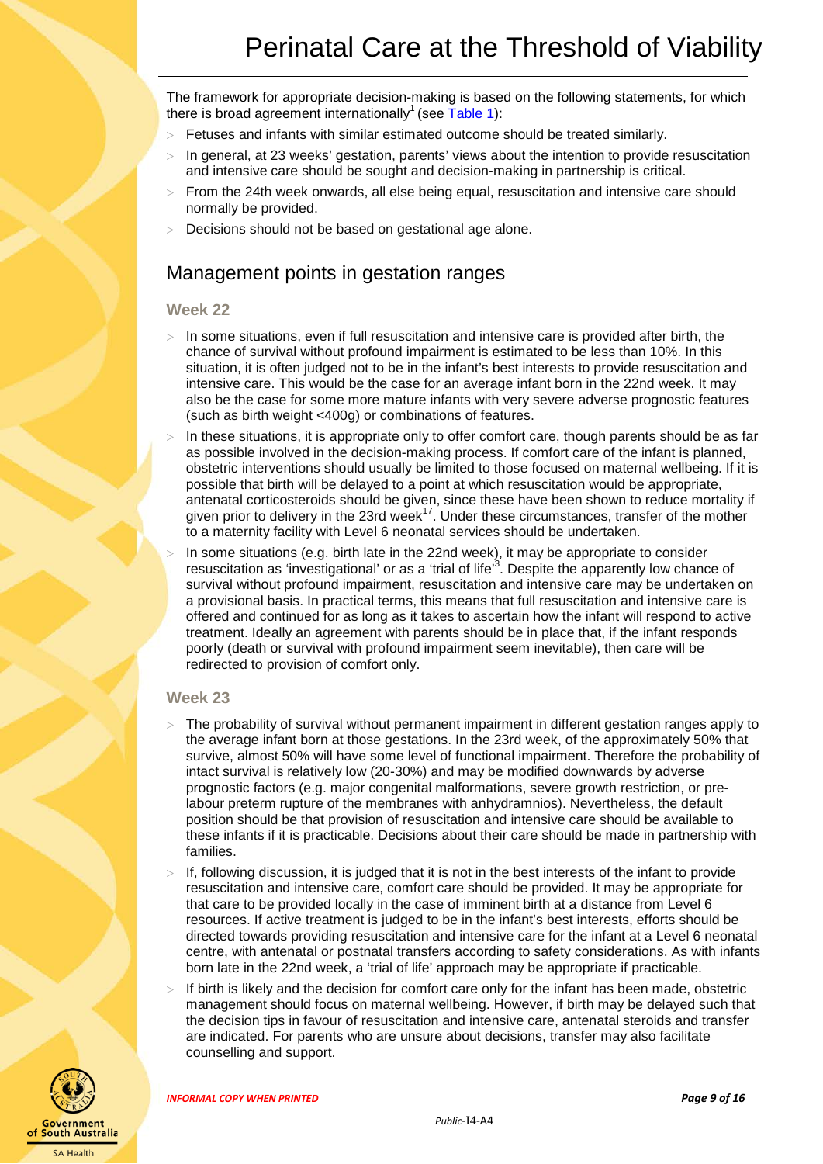The framework for appropriate decision-making is based on the following statements, for which there is broad agreement internationally<sup>1</sup> (see  $Table 1$ ):

- > Fetuses and infants with similar estimated outcome should be treated similarly.
- In general, at 23 weeks' gestation, parents' views about the intention to provide resuscitation and intensive care should be sought and decision-making in partnership is critical.
- > From the 24th week onwards, all else being equal, resuscitation and intensive care should normally be provided.
- <span id="page-8-0"></span>Decisions should not be based on gestational age alone.

### Management points in gestation ranges

#### <span id="page-8-1"></span>**Week 22**

- In some situations, even if full resuscitation and intensive care is provided after birth, the chance of survival without profound impairment is estimated to be less than 10%. In this situation, it is often judged not to be in the infant's best interests to provide resuscitation and intensive care. This would be the case for an average infant born in the 22nd week. It may also be the case for some more mature infants with very severe adverse prognostic features (such as birth weight <400g) or combinations of features.
- In these situations, it is appropriate only to offer comfort care, though parents should be as far as possible involved in the decision-making process. If comfort care of the infant is planned, obstetric interventions should usually be limited to those focused on maternal wellbeing. If it is possible that birth will be delayed to a point at which resuscitation would be appropriate, antenatal corticosteroids should be given, since these have been shown to reduce mortality if given prior to delivery in the 23rd week<sup>17</sup>. Under these circumstances, transfer of the mother to a maternity facility with Level 6 neonatal services should be undertaken.
- In some situations (e.g. birth late in the 22nd week), it may be appropriate to consider resuscitation as 'investigational' or as a 'trial of life'<sup>3</sup>. Despite the apparently low chance of survival without profound impairment, resuscitation and intensive care may be undertaken on a provisional basis. In practical terms, this means that full resuscitation and intensive care is offered and continued for as long as it takes to ascertain how the infant will respond to active treatment. Ideally an agreement with parents should be in place that, if the infant responds poorly (death or survival with profound impairment seem inevitable), then care will be redirected to provision of comfort only.

#### <span id="page-8-2"></span>**Week 23**

- The probability of survival without permanent impairment in different gestation ranges apply to the average infant born at those gestations. In the 23rd week, of the approximately 50% that survive, almost 50% will have some level of functional impairment. Therefore the probability of intact survival is relatively low (20-30%) and may be modified downwards by adverse prognostic factors (e.g. major congenital malformations, severe growth restriction, or prelabour preterm rupture of the membranes with anhydramnios). Nevertheless, the default position should be that provision of resuscitation and intensive care should be available to these infants if it is practicable. Decisions about their care should be made in partnership with families.
- If, following discussion, it is judged that it is not in the best interests of the infant to provide resuscitation and intensive care, comfort care should be provided. It may be appropriate for that care to be provided locally in the case of imminent birth at a distance from Level 6 resources. If active treatment is judged to be in the infant's best interests, efforts should be directed towards providing resuscitation and intensive care for the infant at a Level 6 neonatal centre, with antenatal or postnatal transfers according to safety considerations. As with infants born late in the 22nd week, a 'trial of life' approach may be appropriate if practicable.
- If birth is likely and the decision for comfort care only for the infant has been made, obstetric management should focus on maternal wellbeing. However, if birth may be delayed such that the decision tips in favour of resuscitation and intensive care, antenatal steroids and transfer are indicated. For parents who are unsure about decisions, transfer may also facilitate counselling and support.



*INFORMAL COPY WHEN PRINTED Page 9 of 16*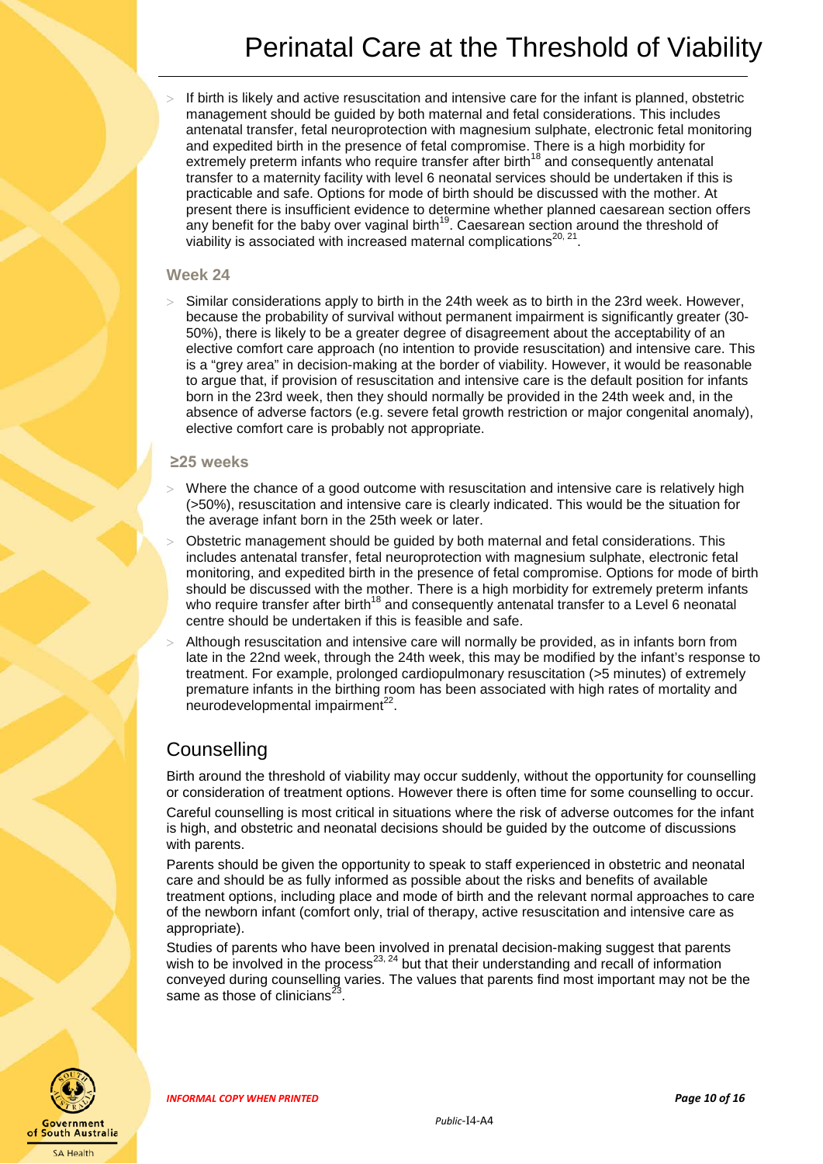If birth is likely and active resuscitation and intensive care for the infant is planned, obstetric management should be guided by both maternal and fetal considerations. This includes antenatal transfer, fetal neuroprotection with magnesium sulphate, electronic fetal monitoring and expedited birth in the presence of fetal compromise. There is a high morbidity for extremely preterm infants who require transfer after birth<sup>18</sup> and consequently antenatal transfer to a maternity facility with level 6 neonatal services should be undertaken if this is practicable and safe. Options for mode of birth should be discussed with the mother. At present there is insufficient evidence to determine whether planned caesarean section offers any benefit for the baby over vaginal birth<sup>19</sup>. Caesarean section around the threshold of viability is associated with increased maternal complications $^{20, 21}$ .

#### <span id="page-9-0"></span>**Week 24**

Similar considerations apply to birth in the 24th week as to birth in the 23rd week. However, because the probability of survival without permanent impairment is significantly greater (30- 50%), there is likely to be a greater degree of disagreement about the acceptability of an elective comfort care approach (no intention to provide resuscitation) and intensive care. This is a "grey area" in decision-making at the border of viability. However, it would be reasonable to argue that, if provision of resuscitation and intensive care is the default position for infants born in the 23rd week, then they should normally be provided in the 24th week and, in the absence of adverse factors (e.g. severe fetal growth restriction or major congenital anomaly), elective comfort care is probably not appropriate.

#### <span id="page-9-1"></span>**≥25 weeks**

- Where the chance of a good outcome with resuscitation and intensive care is relatively high (>50%), resuscitation and intensive care is clearly indicated. This would be the situation for the average infant born in the 25th week or later.
- Obstetric management should be guided by both maternal and fetal considerations. This includes antenatal transfer, fetal neuroprotection with magnesium sulphate, electronic fetal monitoring, and expedited birth in the presence of fetal compromise. Options for mode of birth should be discussed with the mother. There is a high morbidity for extremely preterm infants who require transfer after birth<sup>18</sup> and consequently antenatal transfer to a Level 6 neonatal centre should be undertaken if this is feasible and safe.
- Although resuscitation and intensive care will normally be provided, as in infants born from late in the 22nd week, through the 24th week, this may be modified by the infant's response to treatment. For example, prolonged cardiopulmonary resuscitation (>5 minutes) of extremely premature infants in the birthing room has been associated with high rates of mortality and  $neurodevelopmental impairment<sup>22</sup>.$

#### <span id="page-9-2"></span>**Counselling**

Birth around the threshold of viability may occur suddenly, without the opportunity for counselling or consideration of treatment options. However there is often time for some counselling to occur.

Careful counselling is most critical in situations where the risk of adverse outcomes for the infant is high, and obstetric and neonatal decisions should be guided by the outcome of discussions with parents.

Parents should be given the opportunity to speak to staff experienced in obstetric and neonatal care and should be as fully informed as possible about the risks and benefits of available treatment options, including place and mode of birth and the relevant normal approaches to care of the newborn infant (comfort only, trial of therapy, active resuscitation and intensive care as appropriate).

Studies of parents who have been involved in prenatal decision-making suggest that parents wish to be involved in the process<sup>23, 24</sup> but that their understanding and recall of information conveyed during counselling varies. The values that parents find most important may not be the same as those of clinicians<sup>23</sup>



*INFORMAL COPY WHEN PRINTED Page 10 of 16*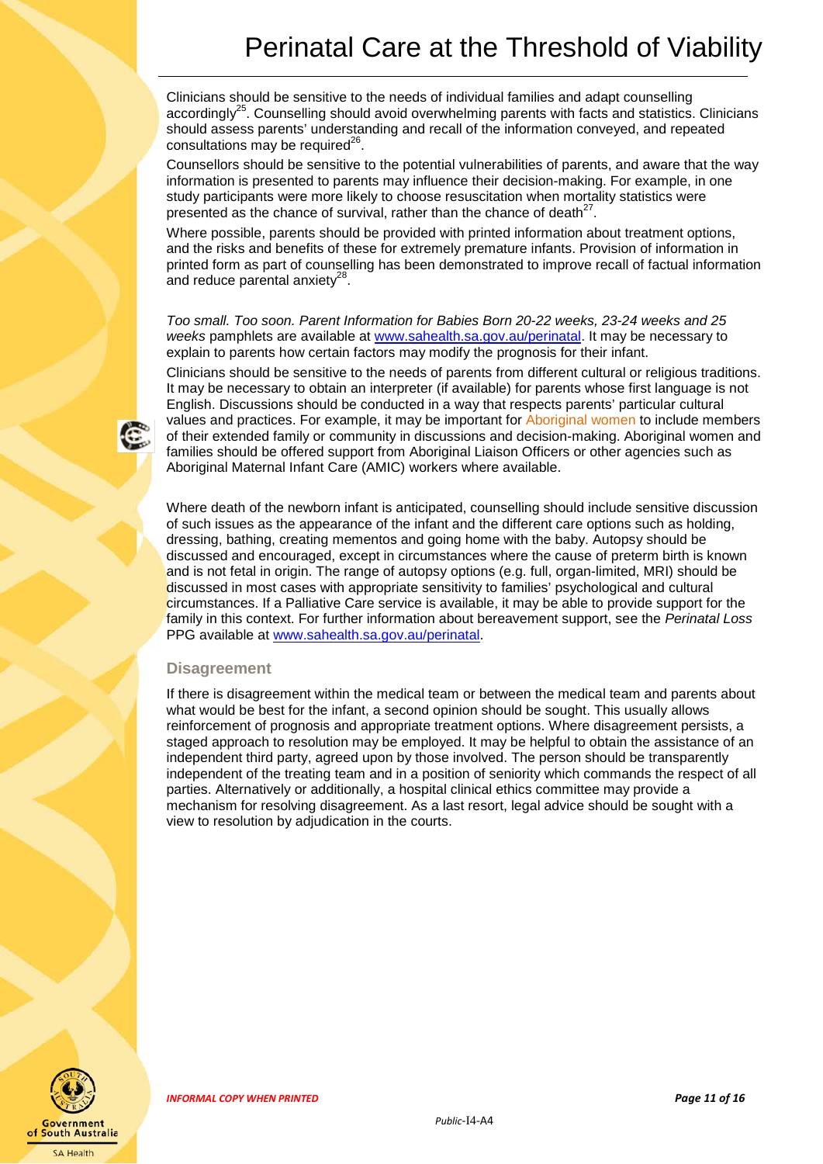Clinicians should be sensitive to the needs of individual families and adapt counselling accordingly<sup>25</sup>. Counselling should avoid overwhelming parents with facts and statistics. Clinicians should assess parents' understanding and recall of the information conveyed, and repeated consultations may be required $^{26}$ .

Counsellors should be sensitive to the potential vulnerabilities of parents, and aware that the way information is presented to parents may influence their decision-making. For example, in one study participants were more likely to choose resuscitation when mortality statistics were presented as the chance of survival, rather than the chance of death $^{27}$ .

Where possible, parents should be provided with printed information about treatment options, and the risks and benefits of these for extremely premature infants. Provision of information in printed form as part of counselling has been demonstrated to improve recall of factual information and reduce parental anxiety $28$ .

*Too small. Too soon. Parent Information for Babies Born 20-22 weeks, 23-24 weeks and 25 weeks* pamphlets are available at [www.sahealth.sa.gov.au/perinatal.](http://www.sahealth.sa.gov.au/perinatal) It may be necessary to explain to parents how certain factors may modify the prognosis for their infant.

Clinicians should be sensitive to the needs of parents from different cultural or religious traditions. It may be necessary to obtain an interpreter (if available) for parents whose first language is not English. Discussions should be conducted in a way that respects parents' particular cultural values and practices. For example, it may be important for Aboriginal women to include members of their extended family or community in discussions and decision-making. Aboriginal women and families should be offered support from Aboriginal Liaison Officers or other agencies such as Aboriginal Maternal Infant Care (AMIC) workers where available.

Where death of the newborn infant is anticipated, counselling should include sensitive discussion of such issues as the appearance of the infant and the different care options such as holding, dressing, bathing, creating mementos and going home with the baby. Autopsy should be discussed and encouraged, except in circumstances where the cause of preterm birth is known and is not fetal in origin. The range of autopsy options (e.g. full, organ-limited, MRI) should be discussed in most cases with appropriate sensitivity to families' psychological and cultural circumstances. If a Palliative Care service is available, it may be able to provide support for the family in this context. For further information about bereavement support, see the *Perinatal Loss* PPG available at [www.sahealth.sa.gov.au/perinatal.](http://www.sahealth.sa.gov.au/perinatal) 

#### <span id="page-10-0"></span>**Disagreement**

<span id="page-10-1"></span>If there is disagreement within the medical team or between the medical team and parents about what would be best for the infant, a second opinion should be sought. This usually allows reinforcement of prognosis and appropriate treatment options. Where disagreement persists, a staged approach to resolution may be employed. It may be helpful to obtain the assistance of an independent third party, agreed upon by those involved. The person should be transparently independent of the treating team and in a position of seniority which commands the respect of all parties. Alternatively or additionally, a hospital clinical ethics committee may provide a mechanism for resolving disagreement. As a last resort, legal advice should be sought with a view to resolution by adjudication in the courts.

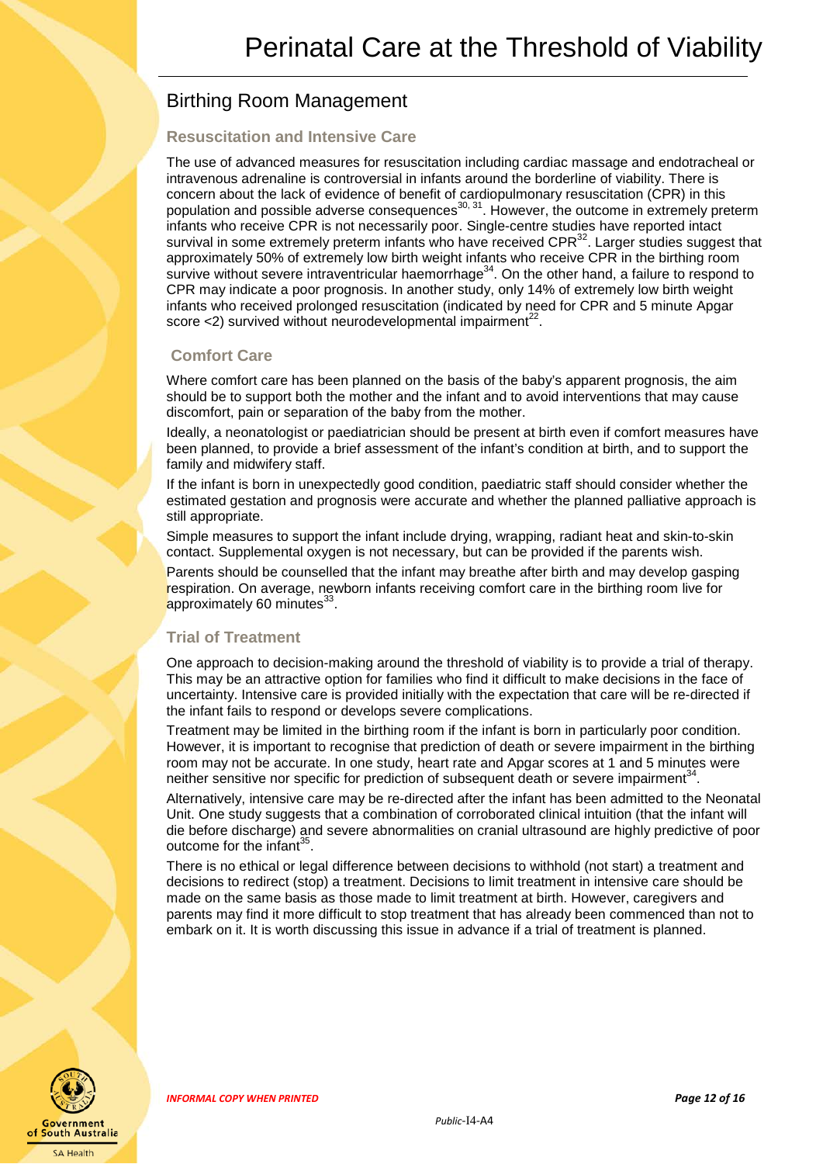## Birthing Room Management

#### <span id="page-11-0"></span>**Resuscitation and Intensive Care**

The use of advanced measures for resuscitation including cardiac massage and endotracheal or intravenous adrenaline is controversial in infants around the borderline of viability. There is concern about the lack of evidence of benefit of cardiopulmonary resuscitation (CPR) in this population and possible adverse consequences<sup>30, 31</sup>. However, the outcome in extremely preterm infants who receive CPR is not necessarily poor. Single-centre studies have reported intact survival in some extremely preterm infants who have received CPR $^{32}$ . Larger studies suggest that approximately 50% of extremely low birth weight infants who receive CPR in the birthing room survive without severe intraventricular haemorrhage<sup>34</sup>. On the other hand, a failure to respond to CPR may indicate a poor prognosis. In another study, only 14% of extremely low birth weight infants who received prolonged resuscitation (indicated by need for CPR and 5 minute Apgar score  $\langle 2 \rangle$  survived without neurodevelopmental impairment<sup>22</sup>.

#### <span id="page-11-1"></span>**Comfort Care**

Where comfort care has been planned on the basis of the baby's apparent prognosis, the aim should be to support both the mother and the infant and to avoid interventions that may cause discomfort, pain or separation of the baby from the mother.

Ideally, a neonatologist or paediatrician should be present at birth even if comfort measures have been planned, to provide a brief assessment of the infant's condition at birth, and to support the family and midwifery staff.

If the infant is born in unexpectedly good condition, paediatric staff should consider whether the estimated gestation and prognosis were accurate and whether the planned palliative approach is still appropriate.

Simple measures to support the infant include drying, wrapping, radiant heat and skin-to-skin contact. Supplemental oxygen is not necessary, but can be provided if the parents wish.

Parents should be counselled that the infant may breathe after birth and may develop gasping respiration. On average, newborn infants receiving comfort care in the birthing room live for approximately 60 minutes<sup>33</sup>.

#### <span id="page-11-2"></span>**Trial of Treatment**

One approach to decision-making around the threshold of viability is to provide a trial of therapy. This may be an attractive option for families who find it difficult to make decisions in the face of uncertainty. Intensive care is provided initially with the expectation that care will be re-directed if the infant fails to respond or develops severe complications.

Treatment may be limited in the birthing room if the infant is born in particularly poor condition. However, it is important to recognise that prediction of death or severe impairment in the birthing room may not be accurate. In one study, heart rate and Apgar scores at 1 and 5 minutes were neither sensitive nor specific for prediction of subsequent death or severe impairment<sup>34</sup>.

Alternatively, intensive care may be re-directed after the infant has been admitted to the Neonatal Unit. One study suggests that a combination of corroborated clinical intuition (that the infant will die before discharge) and severe abnormalities on cranial ultrasound are highly predictive of poor outcome for the infant<sup>35</sup>.

There is no ethical or legal difference between decisions to withhold (not start) a treatment and decisions to redirect (stop) a treatment. Decisions to limit treatment in intensive care should be made on the same basis as those made to limit treatment at birth. However, caregivers and parents may find it more difficult to stop treatment that has already been commenced than not to embark on it. It is worth discussing this issue in advance if a trial of treatment is planned.



*INFORMAL COPY WHEN PRINTED Page 12 of 16*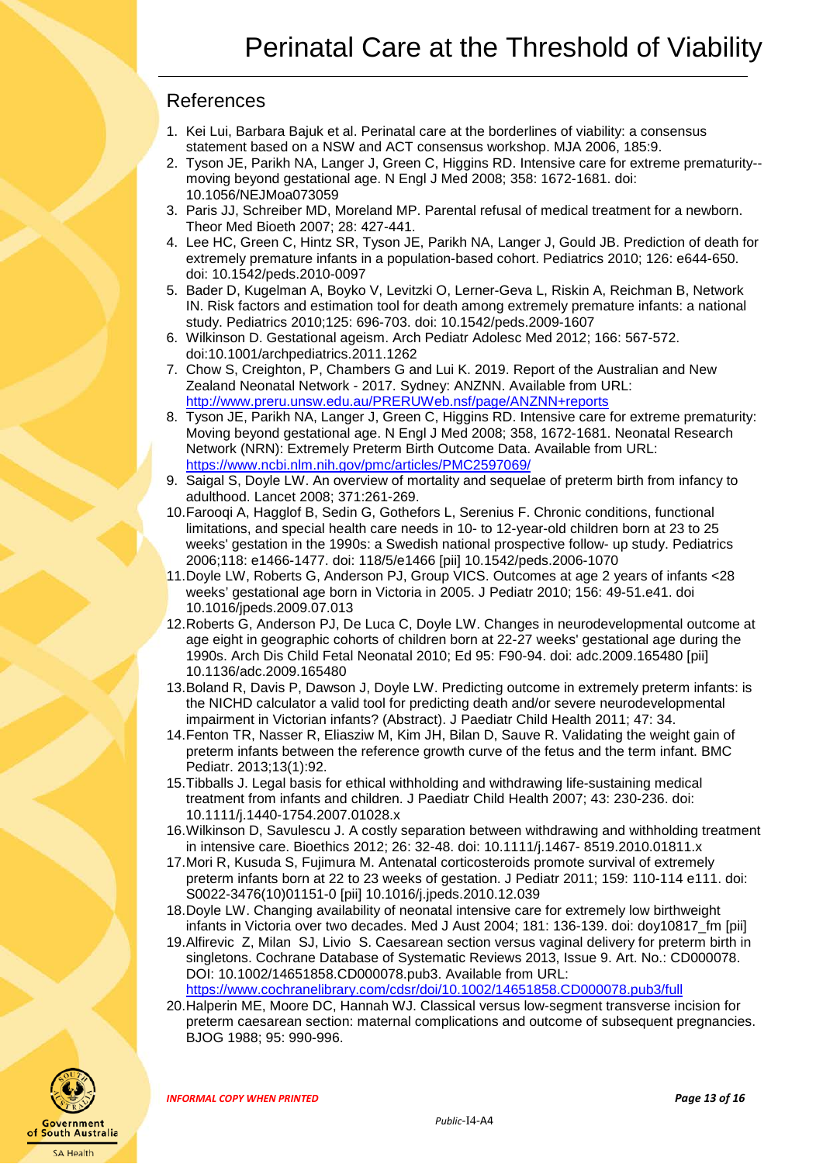### <span id="page-12-0"></span>References

- 1. Kei Lui, Barbara Bajuk et al. Perinatal care at the borderlines of viability: a consensus statement based on a NSW and ACT consensus workshop. MJA 2006, 185:9.
- 2. Tyson JE, Parikh NA, Langer J, Green C, Higgins RD. Intensive care for extreme prematurity- moving beyond gestational age. N Engl J Med 2008; 358: 1672-1681. doi: 10.1056/NEJMoa073059
- 3. Paris JJ, Schreiber MD, Moreland MP. Parental refusal of medical treatment for a newborn. Theor Med Bioeth 2007; 28: 427-441.
- 4. Lee HC, Green C, Hintz SR, Tyson JE, Parikh NA, Langer J, Gould JB. Prediction of death for extremely premature infants in a population-based cohort. Pediatrics 2010; 126: e644-650. doi: 10.1542/peds.2010-0097
- 5. Bader D, Kugelman A, Boyko V, Levitzki O, Lerner-Geva L, Riskin A, Reichman B, Network IN. Risk factors and estimation tool for death among extremely premature infants: a national study. Pediatrics 2010;125: 696-703. doi: 10.1542/peds.2009-1607
- 6. Wilkinson D. Gestational ageism. Arch Pediatr Adolesc Med 2012; 166: 567-572. doi:10.1001/archpediatrics.2011.1262
- 7. Chow S, Creighton, P, Chambers G and Lui K. 2019. Report of the Australian and New Zealand Neonatal Network - 2017. Sydney: ANZNN. Available from URL: <http://www.preru.unsw.edu.au/PRERUWeb.nsf/page/ANZNN+reports>
- 8. Tyson JE, Parikh NA, Langer J, Green C, Higgins RD. Intensive care for extreme prematurity: Moving beyond gestational age. N Engl J Med 2008; 358, 1672-1681. Neonatal Research Network (NRN): Extremely Preterm Birth Outcome Data. Available from URL: <https://www.ncbi.nlm.nih.gov/pmc/articles/PMC2597069/>
- 9. Saigal S, Doyle LW. An overview of mortality and sequelae of preterm birth from infancy to adulthood. Lancet 2008; 371:261-269.
- 10.Farooqi A, Hagglof B, Sedin G, Gothefors L, Serenius F. Chronic conditions, functional limitations, and special health care needs in 10- to 12-year-old children born at 23 to 25 weeks' gestation in the 1990s: a Swedish national prospective follow- up study. Pediatrics 2006;118: e1466-1477. doi: 118/5/e1466 [pii] 10.1542/peds.2006-1070
- 11.Doyle LW, Roberts G, Anderson PJ, Group VICS. Outcomes at age 2 years of infants <28 weeks' gestational age born in Victoria in 2005. J Pediatr 2010; 156: 49-51.e41. doi 10.1016/jpeds.2009.07.013
- 12.Roberts G, Anderson PJ, De Luca C, Doyle LW. Changes in neurodevelopmental outcome at age eight in geographic cohorts of children born at 22-27 weeks' gestational age during the 1990s. Arch Dis Child Fetal Neonatal 2010; Ed 95: F90-94. doi: adc.2009.165480 [pii] 10.1136/adc.2009.165480
- 13.Boland R, Davis P, Dawson J, Doyle LW. Predicting outcome in extremely preterm infants: is the NICHD calculator a valid tool for predicting death and/or severe neurodevelopmental impairment in Victorian infants? (Abstract). J Paediatr Child Health 2011; 47: 34.
- 14.Fenton TR, Nasser R, Eliasziw M, Kim JH, Bilan D, Sauve R. Validating the weight gain of preterm infants between the reference growth curve of the fetus and the term infant. BMC Pediatr. 2013;13(1):92.
- 15.Tibballs J. Legal basis for ethical withholding and withdrawing life-sustaining medical treatment from infants and children. J Paediatr Child Health 2007; 43: 230-236. doi: 10.1111/j.1440-1754.2007.01028.x
- 16.Wilkinson D, Savulescu J. A costly separation between withdrawing and withholding treatment in intensive care. Bioethics 2012; 26: 32-48. doi: 10.1111/j.1467- 8519.2010.01811.x
- 17.Mori R, Kusuda S, Fujimura M. Antenatal corticosteroids promote survival of extremely preterm infants born at 22 to 23 weeks of gestation. J Pediatr 2011; 159: 110-114 e111. doi: S0022-3476(10)01151-0 [pii] 10.1016/j.jpeds.2010.12.039
- 18.Doyle LW. Changing availability of neonatal intensive care for extremely low birthweight infants in Victoria over two decades. Med J Aust 2004; 181: 136-139. doi: doy10817\_fm [pii]
- 19.Alfirevic Z, Milan SJ, Livio S. Caesarean section versus vaginal delivery for preterm birth in singletons. Cochrane Database of Systematic Reviews 2013, Issue 9. Art. No.: CD000078. DOI: 10.1002/14651858.CD000078.pub3. Available from URL: <https://www.cochranelibrary.com/cdsr/doi/10.1002/14651858.CD000078.pub3/full>
- 20.Halperin ME, Moore DC, Hannah WJ. Classical versus low-segment transverse incision for preterm caesarean section: maternal complications and outcome of subsequent pregnancies. BJOG 1988; 95: 990-996.



*INFORMAL COPY WHEN PRINTED Page 13 of 16*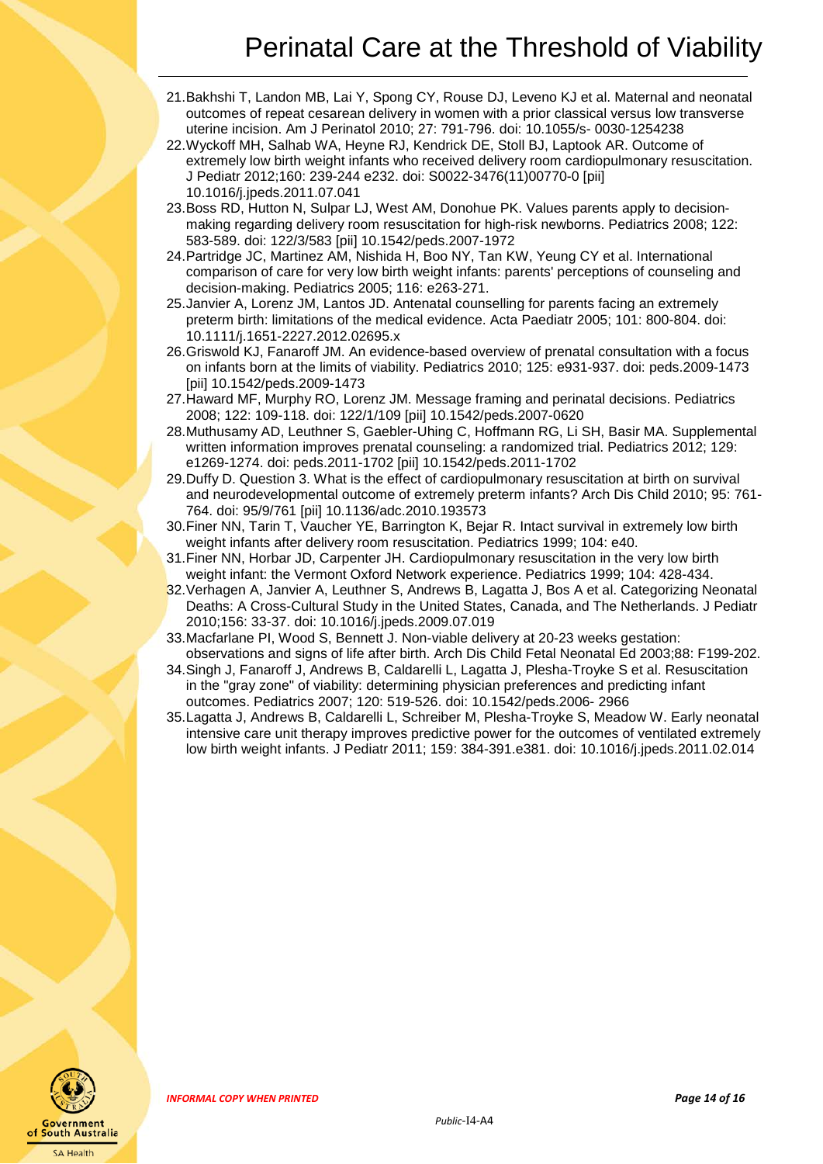- 21.Bakhshi T, Landon MB, Lai Y, Spong CY, Rouse DJ, Leveno KJ et al. Maternal and neonatal outcomes of repeat cesarean delivery in women with a prior classical versus low transverse uterine incision. Am J Perinatol 2010; 27: 791-796. doi: 10.1055/s- 0030-1254238
- 22.Wyckoff MH, Salhab WA, Heyne RJ, Kendrick DE, Stoll BJ, Laptook AR. Outcome of extremely low birth weight infants who received delivery room cardiopulmonary resuscitation. J Pediatr 2012;160: 239-244 e232. doi: S0022-3476(11)00770-0 [pii] 10.1016/j.jpeds.2011.07.041
- 23.Boss RD, Hutton N, Sulpar LJ, West AM, Donohue PK. Values parents apply to decisionmaking regarding delivery room resuscitation for high-risk newborns. Pediatrics 2008; 122: 583-589. doi: 122/3/583 [pii] 10.1542/peds.2007-1972
- 24.Partridge JC, Martinez AM, Nishida H, Boo NY, Tan KW, Yeung CY et al. International comparison of care for very low birth weight infants: parents' perceptions of counseling and decision-making. Pediatrics 2005; 116: e263-271.
- 25.Janvier A, Lorenz JM, Lantos JD. Antenatal counselling for parents facing an extremely preterm birth: limitations of the medical evidence. Acta Paediatr 2005; 101: 800-804. doi: 10.1111/j.1651-2227.2012.02695.x
- 26.Griswold KJ, Fanaroff JM. An evidence-based overview of prenatal consultation with a focus on infants born at the limits of viability. Pediatrics 2010; 125: e931-937. doi: peds.2009-1473 [pii] 10.1542/peds.2009-1473
- 27.Haward MF, Murphy RO, Lorenz JM. Message framing and perinatal decisions. Pediatrics 2008; 122: 109-118. doi: 122/1/109 [pii] 10.1542/peds.2007-0620
- 28.Muthusamy AD, Leuthner S, Gaebler-Uhing C, Hoffmann RG, Li SH, Basir MA. Supplemental written information improves prenatal counseling: a randomized trial. Pediatrics 2012; 129: e1269-1274. doi: peds.2011-1702 [pii] 10.1542/peds.2011-1702
- 29.Duffy D. Question 3. What is the effect of cardiopulmonary resuscitation at birth on survival and neurodevelopmental outcome of extremely preterm infants? Arch Dis Child 2010; 95: 761- 764. doi: 95/9/761 [pii] 10.1136/adc.2010.193573
- 30.Finer NN, Tarin T, Vaucher YE, Barrington K, Bejar R. Intact survival in extremely low birth weight infants after delivery room resuscitation. Pediatrics 1999; 104: e40.
- 31.Finer NN, Horbar JD, Carpenter JH. Cardiopulmonary resuscitation in the very low birth weight infant: the Vermont Oxford Network experience. Pediatrics 1999; 104: 428-434.
- 32.Verhagen A, Janvier A, Leuthner S, Andrews B, Lagatta J, Bos A et al. Categorizing Neonatal Deaths: A Cross-Cultural Study in the United States, Canada, and The Netherlands. J Pediatr 2010;156: 33-37. doi: 10.1016/j.jpeds.2009.07.019
- 33.Macfarlane PI, Wood S, Bennett J. Non-viable delivery at 20-23 weeks gestation: observations and signs of life after birth. Arch Dis Child Fetal Neonatal Ed 2003;88: F199-202.
- 34.Singh J, Fanaroff J, Andrews B, Caldarelli L, Lagatta J, Plesha-Troyke S et al. Resuscitation in the "gray zone" of viability: determining physician preferences and predicting infant outcomes. Pediatrics 2007; 120: 519-526. doi: 10.1542/peds.2006- 2966
- 35.Lagatta J, Andrews B, Caldarelli L, Schreiber M, Plesha-Troyke S, Meadow W. Early neonatal intensive care unit therapy improves predictive power for the outcomes of ventilated extremely low birth weight infants. J Pediatr 2011; 159: 384-391.e381. doi: 10.1016/j.jpeds.2011.02.014

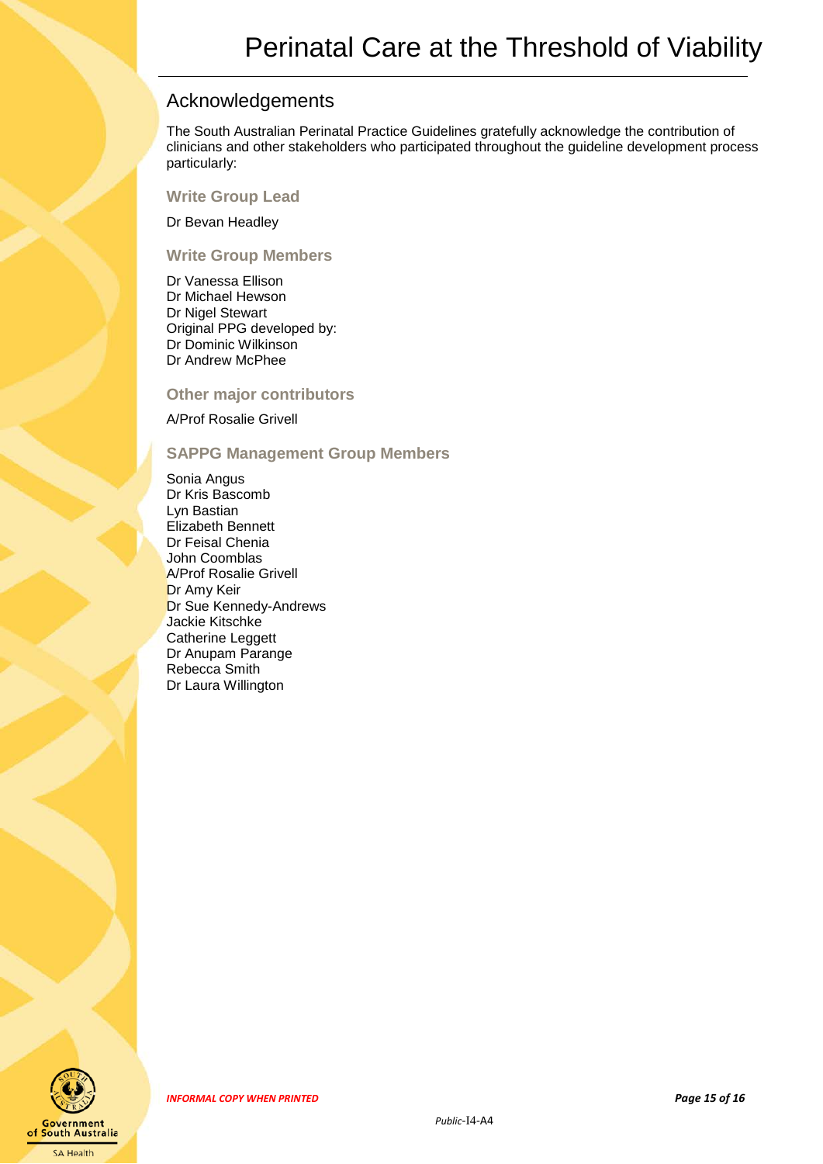### <span id="page-14-0"></span>Acknowledgements

The South Australian Perinatal Practice Guidelines gratefully acknowledge the contribution of clinicians and other stakeholders who participated throughout the guideline development process particularly:

#### **Write Group Lead**

Dr Bevan Headley

#### **Write Group Members**

Dr Vanessa Ellison Dr Michael Hewson Dr Nigel Stewart Original PPG developed by: Dr Dominic Wilkinson Dr Andrew McPhee

#### **Other major contributors**

A/Prof Rosalie Grivell

#### **SAPPG Management Group Members**

Sonia Angus Dr Kris Bascomb Lyn Bastian Elizabeth Bennett Dr Feisal Chenia John Coomblas A/Prof Rosalie Grivell Dr Amy Keir Dr Sue Kennedy-Andrews Jackie Kitschke Catherine Leggett Dr Anupam Parange Rebecca Smith Dr Laura Willington